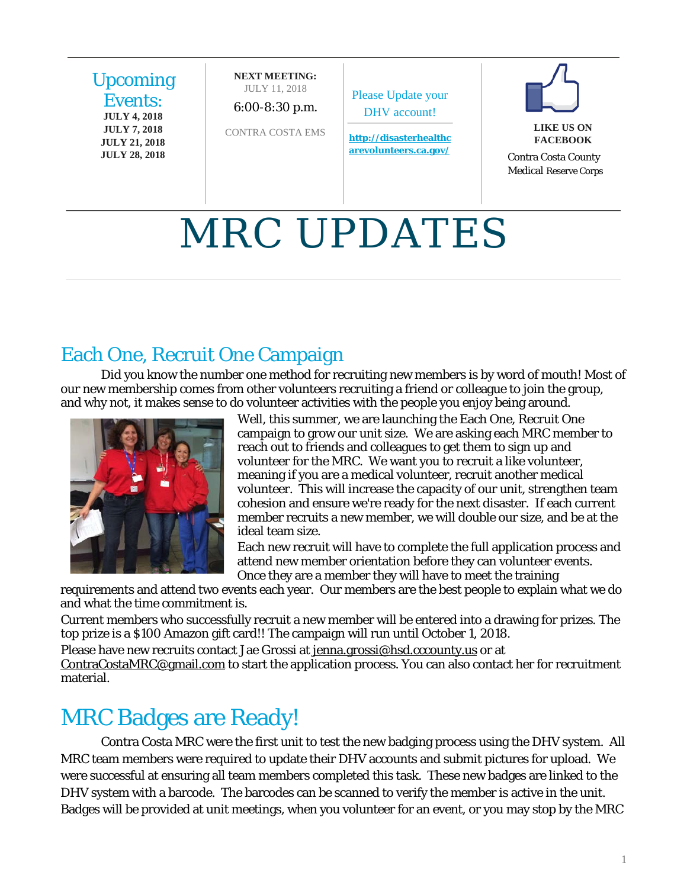

# MRC UPDATES

# Each One, Recruit One Campaign

Did you know the number one method for recruiting new members is by word of mouth! Most of our new membership comes from other volunteers recruiting a friend or colleague to join the group, and why not, it makes sense to do volunteer activities with the people you enjoy being around.



Well, this summer, we are launching the Each One, Recruit One campaign to grow our unit size. We are asking each MRC member to reach out to friends and colleagues to get them to sign up and volunteer for the MRC. We want you to recruit a like volunteer, meaning if you are a medical volunteer, recruit another medical volunteer. This will increase the capacity of our unit, strengthen team cohesion and ensure we're ready for the next disaster. If each current member recruits a new member, we will double our size, and be at the ideal team size.

Each new recruit will have to complete the full application process and attend new member orientation before they can volunteer events. Once they are a member they will have to meet the training

requirements and attend two events each year. Our members are the best people to explain what we do and what the time commitment is.

Current members who successfully recruit a new member will be entered into a drawing for prizes. The top prize is a \$100 Amazon gift card!! The campaign will run until October 1, 2018.

Please have new recruits contact Jae Grossi at [jenna.grossi@hsd.cccounty.us](mailto:jenna.grossi@hsd.cccounty.us) or at [ContraCostaMRC@gmail.com](mailto:ContraCostaMRC@gmail.com) to start the application process. You can also contact her for recruitment material.

# MRC Badges are Ready!

Contra Costa MRC were the first unit to test the new badging process using the DHV system. All MRC team members were required to update their DHV accounts and submit pictures for upload. We were successful at ensuring all team members completed this task. These new badges are linked to the DHV system with a barcode. The barcodes can be scanned to verify the member is active in the unit. Badges will be provided at unit meetings, when you volunteer for an event, or you may stop by the MRC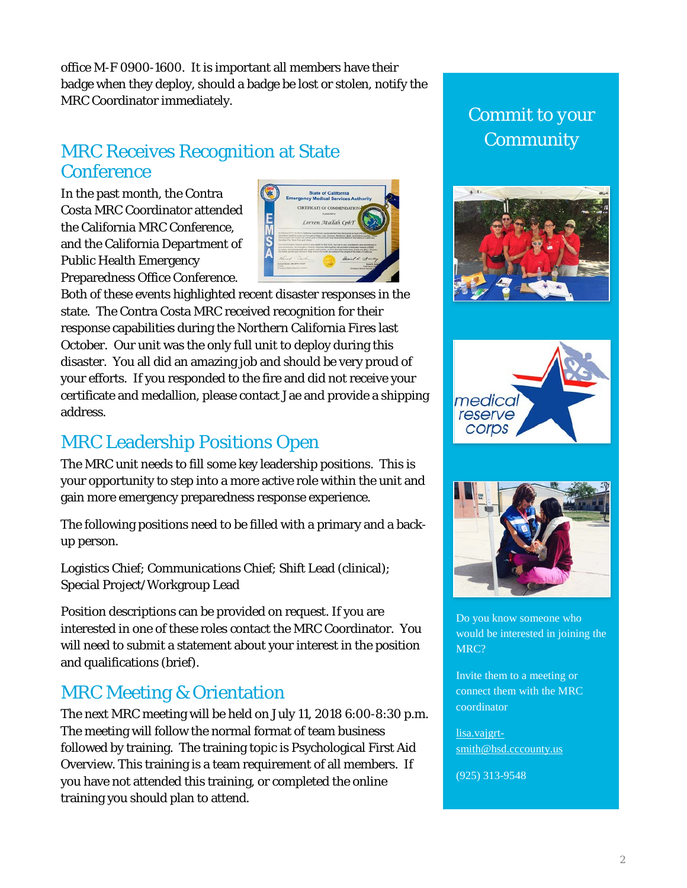office M-F 0900-1600. It is important all members have their badge when they deploy, should a badge be lost or stolen, notify the MRC Coordinator immediately.

#### MRC Receives Recognition at State **Conference**

In the past month, the Contra Costa MRC Coordinator attended the California MRC Conference, and the California Department of Public Health Emergency Preparedness Office Conference.



Both of these events highlighted recent disaster responses in the state. The Contra Costa MRC received recognition for their response capabilities during the Northern California Fires last October. Our unit was the only full unit to deploy during this disaster. You all did an amazing job and should be very proud of your efforts. If you responded to the fire and did not receive your certificate and medallion, please contact Jae and provide a shipping address.

#### MRC Leadership Positions Open

The MRC unit needs to fill some key leadership positions. This is your opportunity to step into a more active role within the unit and gain more emergency preparedness response experience.

The following positions need to be filled with a primary and a backup person.

Logistics Chief; Communications Chief; Shift Lead (clinical); Special Project/Workgroup Lead

Position descriptions can be provided on request. If you are interested in one of these roles contact the MRC Coordinator. You will need to submit a statement about your interest in the position and qualifications (brief).

## MRC Meeting & Orientation

The next MRC meeting will be held on July 11, 2018 6:00-8:30 p.m. The meeting will follow the normal format of team business followed by training. The training topic is Psychological First Aid Overview. This training is a team requirement of all members. If you have not attended this training, or completed the online training you should plan to attend.

*Commit to your Community*







Do you know someone who would be interested in joining the MRC?

Invite them to a meeting or connect them with the MRC coordinator

[lisa.vajgrt](mailto:lisa.vajgrt-smith@hsd.cccounty.us)[smith@hsd.cccounty.us](mailto:lisa.vajgrt-smith@hsd.cccounty.us)

(925) 313-9548